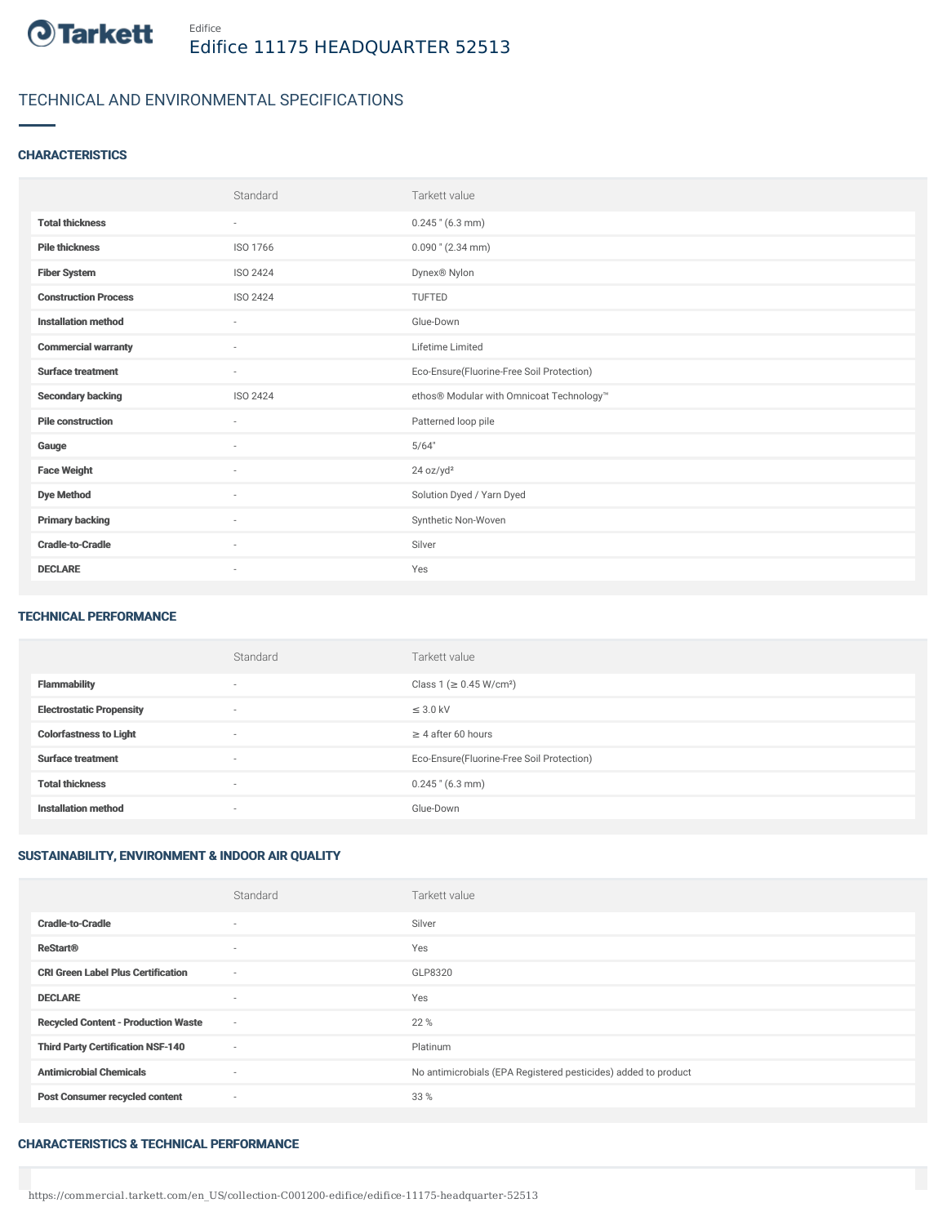

# TECHNICAL AND ENVIRONMENTAL SPECIFICATIONS

## **CHARACTERISTICS**

|                             | Standard                 | Tarkett value                             |
|-----------------------------|--------------------------|-------------------------------------------|
| <b>Total thickness</b>      | $\overline{\phantom{a}}$ | $0.245$ " (6.3 mm)                        |
| <b>Pile thickness</b>       | ISO 1766                 | $0.090$ " (2.34 mm)                       |
| <b>Fiber System</b>         | ISO 2424                 | Dynex <sup>®</sup> Nylon                  |
| <b>Construction Process</b> | ISO 2424                 | <b>TUFTED</b>                             |
| <b>Installation method</b>  | $\sim$                   | Glue-Down                                 |
| <b>Commercial warranty</b>  | $\sim$                   | Lifetime Limited                          |
| <b>Surface treatment</b>    | $\sim$                   | Eco-Ensure(Fluorine-Free Soil Protection) |
| <b>Secondary backing</b>    | ISO 2424                 | ethos® Modular with Omnicoat Technology™  |
| <b>Pile construction</b>    | $\sim$                   | Patterned loop pile                       |
| Gauge                       | $\sim$                   | 5/64"                                     |
| <b>Face Weight</b>          | ٠                        | 24 oz/yd <sup>2</sup>                     |
| <b>Dye Method</b>           | $\overline{\phantom{a}}$ | Solution Dyed / Yarn Dyed                 |
| <b>Primary backing</b>      | $\sim$                   | Synthetic Non-Woven                       |
| <b>Cradle-to-Cradle</b>     | ٠                        | Silver                                    |
| <b>DECLARE</b>              | $\sim$                   | Yes                                       |

#### TECHNICAL PERFORMANCE

|                                 | Standard                 | Tarkett value                             |
|---------------------------------|--------------------------|-------------------------------------------|
| <b>Flammability</b>             | $\overline{\phantom{a}}$ | Class 1 (≥ 0.45 W/cm <sup>2</sup> )       |
| <b>Electrostatic Propensity</b> | $\overline{\phantom{a}}$ | $\leq$ 3.0 kV                             |
| <b>Colorfastness to Light</b>   | $\overline{\phantom{a}}$ | $\geq$ 4 after 60 hours                   |
| <b>Surface treatment</b>        | $\sim$                   | Eco-Ensure(Fluorine-Free Soil Protection) |
| <b>Total thickness</b>          | $\overline{\phantom{a}}$ | $0.245$ " (6.3 mm)                        |
| <b>Installation method</b>      | $\sim$                   | Glue-Down                                 |

## SUSTAINABILITY, ENVIRONMENT & INDOOR AIR QUALITY

|                                            | Standard | Tarkett value                                                  |
|--------------------------------------------|----------|----------------------------------------------------------------|
| <b>Cradle-to-Cradle</b>                    | $\sim$   | Silver                                                         |
| <b>ReStart®</b>                            | $\sim$   | Yes                                                            |
| <b>CRI Green Label Plus Certification</b>  | $\sim$   | GLP8320                                                        |
| <b>DECLARE</b>                             | $\sim$   | Yes                                                            |
| <b>Recycled Content - Production Waste</b> | $\sim$   | 22 %                                                           |
| <b>Third Party Certification NSF-140</b>   | $\sim$   | Platinum                                                       |
| <b>Antimicrobial Chemicals</b>             | $\sim$   | No antimicrobials (EPA Registered pesticides) added to product |
| <b>Post Consumer recycled content</b>      | $\sim$   | 33 %                                                           |

#### CHARACTERISTICS & TECHNICAL PERFORMANCE